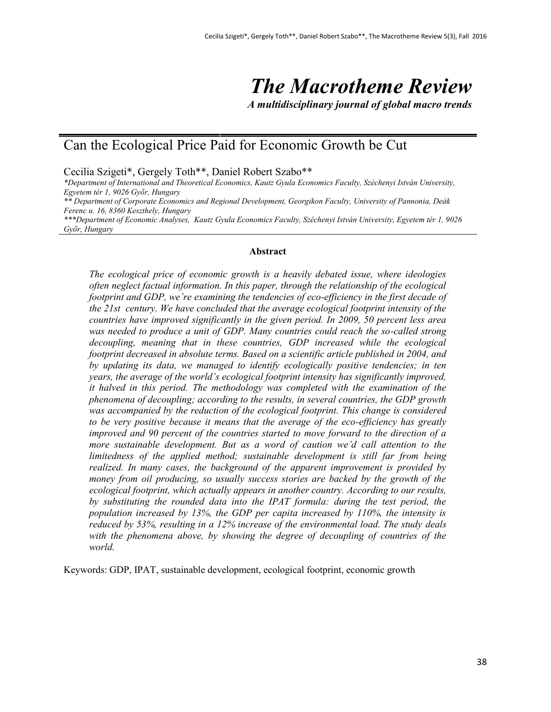# *The Macrotheme Review*

*A multidisciplinary journal of global macro trends*

# Can the Ecological Price Paid for Economic Growth be Cut

Cecilia Szigeti\*, Gergely Toth\*\*, Daniel Robert Szabo\*\*

*\*Department of International and Theoretical Economics, Kautz Gyula Economics Faculty, Széchenyi István University, Egyetem tér 1, 9026 Győr, Hungary \*\* Department of Corporate Economics and Regional Development, Georgikon Faculty, University of Pannonia, Deák Ferenc u. 16, 8360 Keszthely, Hungary \*\*\*Department of Economic Analyses, Kautz Gyula Economics Faculty, Széchenyi István University, Egyetem tér 1, 9026 Győr, Hungary*

#### **Abstract**

*The ecological price of economic growth is a heavily debated issue, where ideologies often neglect factual information. In this paper, through the relationship of the ecological footprint and GDP, we're examining the tendencies of eco-efficiency in the first decade of the 21st century. We have concluded that the average ecological footprint intensity of the countries have improved significantly in the given period. In 2009, 50 percent less area*  was needed to produce a unit of GDP. Many countries could reach the so-called strong *decoupling, meaning that in these countries, GDP increased while the ecological footprint decreased in absolute terms. Based on a scientific article published in 2004, and by updating its data, we managed to identify ecologically positive tendencies; in ten years, the average of the world's ecological footprint intensity has significantly improved, it halved in this period. The methodology was completed with the examination of the phenomena of decoupling; according to the results, in several countries, the GDP growth was accompanied by the reduction of the ecological footprint. This change is considered to be very positive because it means that the average of the eco-efficiency has greatly improved and 90 percent of the countries started to move forward to the direction of a more sustainable development. But as a word of caution we'd call attention to the limitedness of the applied method; sustainable development is still far from being realized. In many cases, the background of the apparent improvement is provided by money from oil producing, so usually success stories are backed by the growth of the ecological footprint, which actually appears in another country. According to our results, by substituting the rounded data into the IPAT formula: during the test period, the population increased by 13%, the GDP per capita increased by 110%, the intensity is reduced by 53%, resulting in a 12% increase of the environmental load. The study deals with the phenomena above, by showing the degree of decoupling of countries of the world.* 

Keywords: GDP, IPAT, sustainable development, ecological footprint, economic growth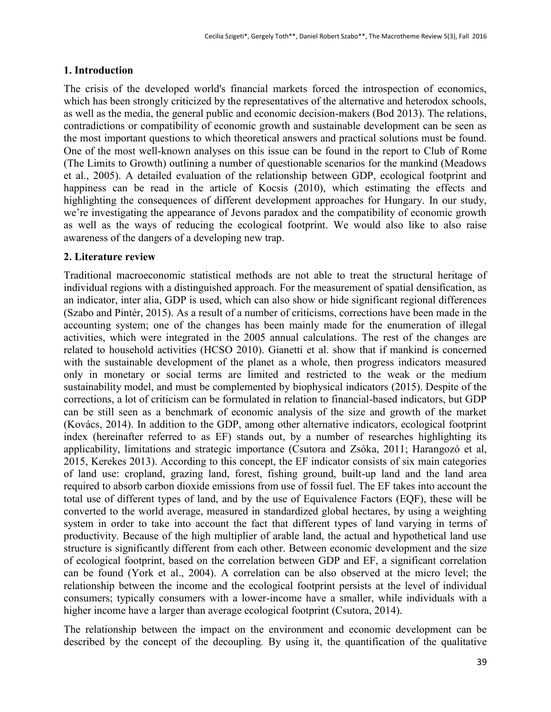## **1. Introduction**

The crisis of the developed world's financial markets forced the introspection of economics, which has been strongly criticized by the representatives of the alternative and heterodox schools, as well as the media, the general public and economic decision-makers (Bod 2013). The relations, contradictions or compatibility of economic growth and sustainable development can be seen as the most important questions to which theoretical answers and practical solutions must be found. One of the most well-known analyses on this issue can be found in the report to Club of Rome (The Limits to Growth) outlining a number of questionable scenarios for the mankind (Meadows et al., 2005). A detailed evaluation of the relationship between GDP, ecological footprint and happiness can be read in the article of Kocsis (2010), which estimating the effects and highlighting the consequences of different development approaches for Hungary. In our study, we're investigating the appearance of Jevons paradox and the compatibility of economic growth as well as the ways of reducing the ecological footprint. We would also like to also raise awareness of the dangers of a developing new trap.

## **2. Literature review**

Traditional macroeconomic statistical methods are not able to treat the structural heritage of individual regions with a distinguished approach. For the measurement of spatial densification, as an indicator, inter alia, GDP is used, which can also show or hide significant regional differences (Szabo and Pintér, 2015). As a result of a number of criticisms, corrections have been made in the accounting system; one of the changes has been mainly made for the enumeration of illegal activities, which were integrated in the 2005 annual calculations. The rest of the changes are related to household activities (HCSO 2010). Gianetti et al. show that if mankind is concerned with the sustainable development of the planet as a whole, then progress indicators measured only in monetary or social terms are limited and restricted to the weak or the medium sustainability model, and must be complemented by biophysical indicators (2015). Despite of the corrections, a lot of criticism can be formulated in relation to financial-based indicators, but GDP can be still seen as a benchmark of economic analysis of the size and growth of the market (Kovács, 2014). In addition to the GDP, among other alternative indicators, ecological footprint index (hereinafter referred to as EF) stands out, by a number of researches highlighting its applicability, limitations and strategic importance (Csutora and Zsóka, 2011; Harangozó et al, 2015, Kerekes 2013). According to this concept, the EF indicator consists of six main categories of land use: cropland, grazing land, forest, fishing ground, built-up land and the land area required to absorb carbon dioxide emissions from use of fossil fuel. The EF takes into account the total use of different types of land, and by the use of Equivalence Factors (EQF), these will be converted to the world average, measured in standardized global hectares, by using a weighting system in order to take into account the fact that different types of land varying in terms of productivity. Because of the high multiplier of arable land, the actual and hypothetical land use structure is significantly different from each other. Between economic development and the size of ecological footprint, based on the correlation between GDP and EF, a significant correlation can be found (York et al., 2004). A correlation can be also observed at the micro level; the relationship between the income and the ecological footprint persists at the level of individual consumers; typically consumers with a lower-income have a smaller, while individuals with a higher income have a larger than average ecological footprint (Csutora, 2014).

The relationship between the impact on the environment and economic development can be described by the concept of the decoupling*.* By using it, the quantification of the qualitative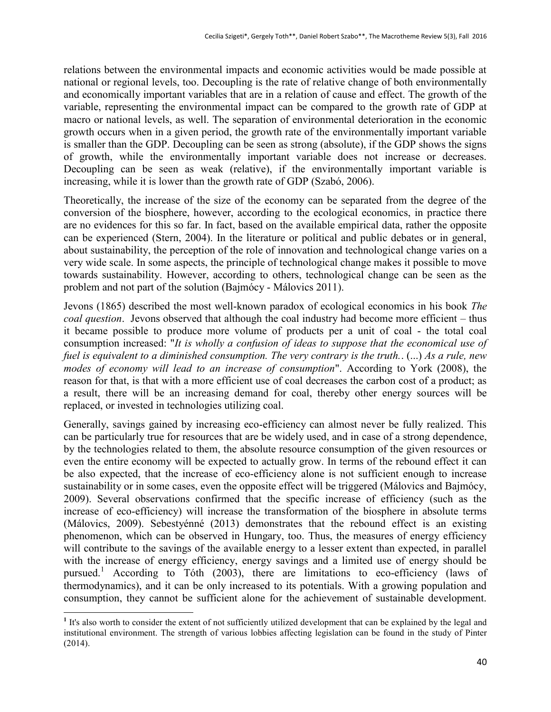relations between the environmental impacts and economic activities would be made possible at national or regional levels, too. Decoupling is the rate of relative change of both environmentally and economically important variables that are in a relation of cause and effect. The growth of the variable, representing the environmental impact can be compared to the growth rate of GDP at macro or national levels, as well. The separation of environmental deterioration in the economic growth occurs when in a given period, the growth rate of the environmentally important variable is smaller than the GDP. Decoupling can be seen as strong (absolute), if the GDP shows the signs of growth, while the environmentally important variable does not increase or decreases. Decoupling can be seen as weak (relative), if the environmentally important variable is increasing, while it is lower than the growth rate of GDP (Szabó, 2006).

Theoretically, the increase of the size of the economy can be separated from the degree of the conversion of the biosphere, however, according to the ecological economics, in practice there are no evidences for this so far. In fact, based on the available empirical data, rather the opposite can be experienced (Stern, 2004). In the literature or political and public debates or in general, about sustainability, the perception of the role of innovation and technological change varies on a very wide scale. In some aspects, the principle of technological change makes it possible to move towards sustainability. However, according to others, technological change can be seen as the problem and not part of the solution (Bajmócy - Málovics 2011).

Jevons (1865) described the most well-known paradox of ecological economics in his book *The coal question*. Jevons observed that although the coal industry had become more efficient – thus it became possible to produce more volume of products per a unit of coal - the total coal consumption increased: "*It is wholly a confusion of ideas to suppose that the economical use of fuel is equivalent to a diminished consumption. The very contrary is the truth.*. (...) *As a rule, new modes of economy will lead to an increase of consumption*". According to York (2008), the reason for that, is that with a more efficient use of coal decreases the carbon cost of a product; as a result, there will be an increasing demand for coal, thereby other energy sources will be replaced, or invested in technologies utilizing coal.

Generally, savings gained by increasing eco-efficiency can almost never be fully realized. This can be particularly true for resources that are be widely used, and in case of a strong dependence, by the technologies related to them, the absolute resource consumption of the given resources or even the entire economy will be expected to actually grow. In terms of the rebound effect it can be also expected, that the increase of eco-efficiency alone is not sufficient enough to increase sustainability or in some cases, even the opposite effect will be triggered (Málovics and Bajmócy, 2009). Several observations confirmed that the specific increase of efficiency (such as the increase of eco-efficiency) will increase the transformation of the biosphere in absolute terms (Málovics, 2009). Sebestyénné (2013) demonstrates that the rebound effect is an existing phenomenon, which can be observed in Hungary, too. Thus, the measures of energy efficiency will contribute to the savings of the available energy to a lesser extent than expected, in parallel with the increase of energy efficiency, energy savings and a limited use of energy should be pursued.<sup>1</sup> According to Tóth (2003), there are limitations to eco-efficiency (laws of thermodynamics), and it can be only increased to its potentials. With a growing population and consumption, they cannot be sufficient alone for the achievement of sustainable development.

 $\overline{a}$ 

<sup>&</sup>lt;sup>1</sup> It's also worth to consider the extent of not sufficiently utilized development that can be explained by the legal and institutional environment. The strength of various lobbies affecting legislation can be found in the study of Pinter (2014).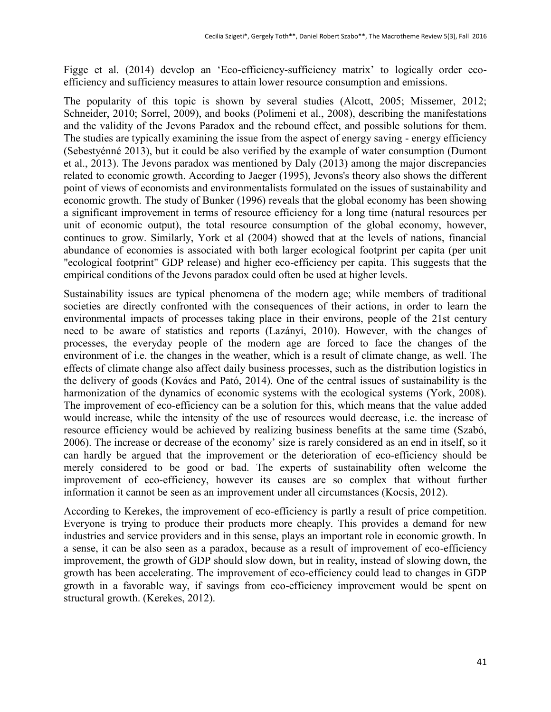Figge et al. (2014) develop an 'Eco-efficiency-sufficiency matrix' to logically order ecoefficiency and sufficiency measures to attain lower resource consumption and emissions.

The popularity of this topic is shown by several studies (Alcott, 2005; Missemer, 2012; Schneider, 2010; Sorrel, 2009), and books (Polimeni et al., 2008), describing the manifestations and the validity of the Jevons Paradox and the rebound effect, and possible solutions for them. The studies are typically examining the issue from the aspect of energy saving - energy efficiency (Sebestyénné 2013), but it could be also verified by the example of water consumption (Dumont et al., 2013). The Jevons paradox was mentioned by Daly (2013) among the major discrepancies related to economic growth. According to Jaeger (1995), Jevons's theory also shows the different point of views of economists and environmentalists formulated on the issues of sustainability and economic growth. The study of Bunker (1996) reveals that the global economy has been showing a significant improvement in terms of resource efficiency for a long time (natural resources per unit of economic output), the total resource consumption of the global economy, however, continues to grow. Similarly, York et al (2004) showed that at the levels of nations, financial abundance of economies is associated with both larger ecological footprint per capita (per unit "ecological footprint" GDP release) and higher eco-efficiency per capita. This suggests that the empirical conditions of the Jevons paradox could often be used at higher levels.

Sustainability issues are typical phenomena of the modern age; while members of traditional societies are directly confronted with the consequences of their actions, in order to learn the environmental impacts of processes taking place in their environs, people of the 21st century need to be aware of statistics and reports (Lazányi, 2010). However, with the changes of processes, the everyday people of the modern age are forced to face the changes of the environment of i.e. the changes in the weather, which is a result of climate change, as well. The effects of climate change also affect daily business processes, such as the distribution logistics in the delivery of goods (Kovács and Pató, 2014). One of the central issues of sustainability is the harmonization of the dynamics of economic systems with the ecological systems (York, 2008). The improvement of eco-efficiency can be a solution for this, which means that the value added would increase, while the intensity of the use of resources would decrease, i.e. the increase of resource efficiency would be achieved by realizing business benefits at the same time (Szabó, 2006). The increase or decrease of the economy' size is rarely considered as an end in itself, so it can hardly be argued that the improvement or the deterioration of eco-efficiency should be merely considered to be good or bad. The experts of sustainability often welcome the improvement of eco-efficiency, however its causes are so complex that without further information it cannot be seen as an improvement under all circumstances (Kocsis, 2012).

According to Kerekes, the improvement of eco-efficiency is partly a result of price competition. Everyone is trying to produce their products more cheaply. This provides a demand for new industries and service providers and in this sense, plays an important role in economic growth. In a sense, it can be also seen as a paradox, because as a result of improvement of eco-efficiency improvement, the growth of GDP should slow down, but in reality, instead of slowing down, the growth has been accelerating. The improvement of eco-efficiency could lead to changes in GDP growth in a favorable way, if savings from eco-efficiency improvement would be spent on structural growth. (Kerekes, 2012).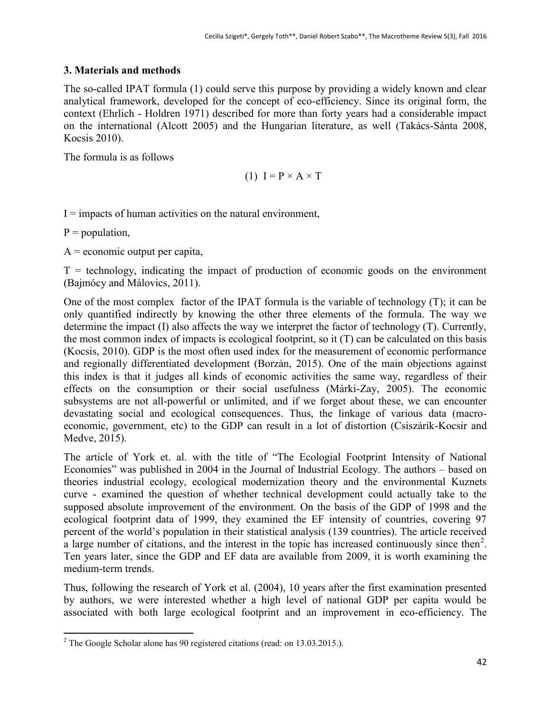## **3. Materials and methods**

The so-called IPAT formula (1) could serve this purpose by providing a widely known and clear analytical framework, developed for the concept of eco-efficiency. Since its original form, the context (Ehrlich - Holdren 1971) described for more than forty years had a considerable impact on the international (Alcott 2005) and the Hungarian literature, as well (Takács-Sánta 2008, Kocsis 2010).

The formula is as follows

$$
(1) I = P \times A \times T
$$

 $I =$  impacts of human activities on the natural environment,

 $P = population$ ,

 $A =$  economic output per capita,

 $T =$  technology, indicating the impact of production of economic goods on the environment (Bajmócy and Málovics, 2011).

One of the most complex factor of the IPAT formula is the variable of technology (T); it can be only quantified indirectly by knowing the other three elements of the formula. The way we determine the impact (I) also affects the way we interpret the factor of technology (T). Currently, the most common index of impacts is ecological footprint, so it (T) can be calculated on this basis (Kocsis, 2010). GDP is the most often used index for the measurement of economic performance and regionally differentiated development (Borzán, 2015). One of the main objections against this index is that it judges all kinds of economic activities the same way, regardless of their effects on the consumption or their social usefulness (Márki-Zay, 2005). The economic subsystems are not all-powerful or unlimited, and if we forget about these, we can encounter devastating social and ecological consequences. Thus, the linkage of various data (macroeconomic, government, etc) to the GDP can result in a lot of distortion (Csiszárik-Kocsir and Medve, 2015).

The article of York et. al. with the title of "The Ecologial Footprint Intensity of National Economies" was published in 2004 in the Journal of Industrial Ecology. The authors – based on theories industrial ecology, ecological modernization theory and the environmental Kuznets curve - examined the question of whether technical development could actually take to the supposed absolute improvement of the environment. On the basis of the GDP of 1998 and the ecological footprint data of 1999, they examined the EF intensity of countries, covering 97 percent of the world's population in their statistical analysis (139 countries). The article received a large number of citations, and the interest in the topic has increased continuously since then<sup>2</sup>. Ten years later, since the GDP and EF data are available from 2009, it is worth examining the medium-term trends.

Thus, following the research of York et al. (2004), 10 years after the first examination presented by authors, we were interested whether a high level of national GDP per capita would be associated with both large ecological footprint and an improvement in eco-efficiency. The

 $\overline{a}$ <sup>2</sup> The Google Scholar alone has 90 registered citations (read: on 13.03.2015.).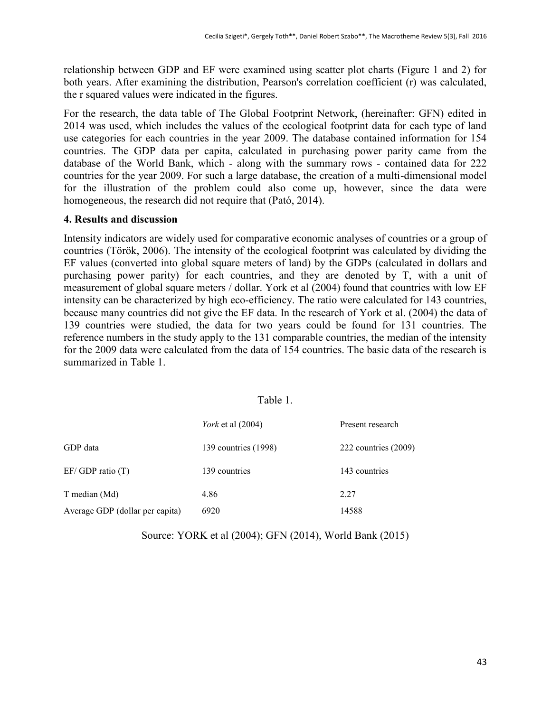relationship between GDP and EF were examined using scatter plot charts (Figure 1 and 2) for both years. After examining the distribution, Pearson's correlation coefficient (r) was calculated, the r squared values were indicated in the figures.

For the research, the data table of The Global Footprint Network, (hereinafter: GFN) edited in 2014 was used, which includes the values of the ecological footprint data for each type of land use categories for each countries in the year 2009. The database contained information for 154 countries. The GDP data per capita, calculated in purchasing power parity came from the database of the World Bank, which - along with the summary rows - contained data for 222 countries for the year 2009. For such a large database, the creation of a multi-dimensional model for the illustration of the problem could also come up, however, since the data were homogeneous, the research did not require that (Pató, 2014).

## **4. Results and discussion**

Intensity indicators are widely used for comparative economic analyses of countries or a group of countries (Török, 2006). The intensity of the ecological footprint was calculated by dividing the EF values (converted into global square meters of land) by the GDPs (calculated in dollars and purchasing power parity) for each countries, and they are denoted by T, with a unit of measurement of global square meters / dollar. York et al (2004) found that countries with low EF intensity can be characterized by high eco-efficiency. The ratio were calculated for 143 countries, because many countries did not give the EF data. In the research of York et al. (2004) the data of 139 countries were studied, the data for two years could be found for 131 countries. The reference numbers in the study apply to the 131 comparable countries, the median of the intensity for the 2009 data were calculated from the data of 154 countries. The basic data of the research is summarized in Table 1.

## Table 1.

|                                 | <i>York</i> et al (2004) | Present research       |
|---------------------------------|--------------------------|------------------------|
| GDP data                        | 139 countries (1998)     | 222 countries $(2009)$ |
| $EF/ GDP$ ratio $(T)$           | 139 countries            | 143 countries          |
| T median (Md)                   | 4.86                     | 2.27                   |
| Average GDP (dollar per capita) | 6920                     | 14588                  |

Source: YORK et al (2004); GFN (2014), World Bank (2015)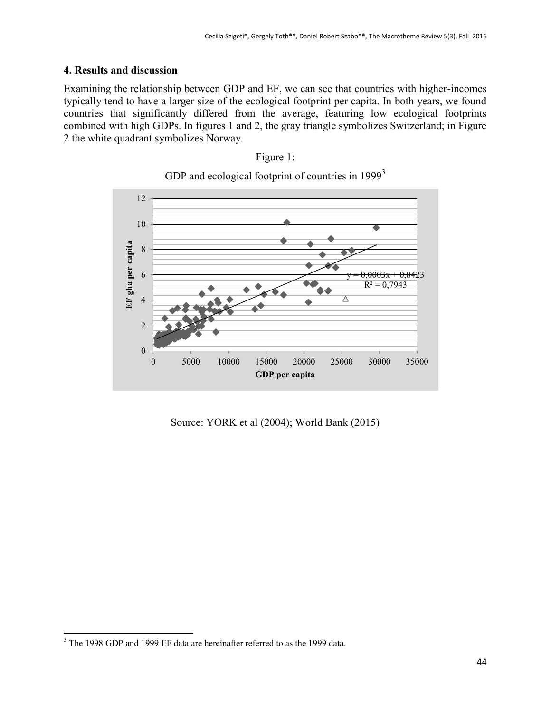## **4. Results and discussion**

Examining the relationship between GDP and EF, we can see that countries with higher-incomes typically tend to have a larger size of the ecological footprint per capita. In both years, we found countries that significantly differed from the average, featuring low ecological footprints combined with high GDPs. In figures 1 and 2, the gray triangle symbolizes Switzerland; in Figure 2 the white quadrant symbolizes Norway.



GDP and ecological footprint of countries in 1999<sup>3</sup>

Figure 1:

Source: YORK et al (2004); World Bank (2015)

 $\overline{a}$  $3$  The 1998 GDP and 1999 EF data are hereinafter referred to as the 1999 data.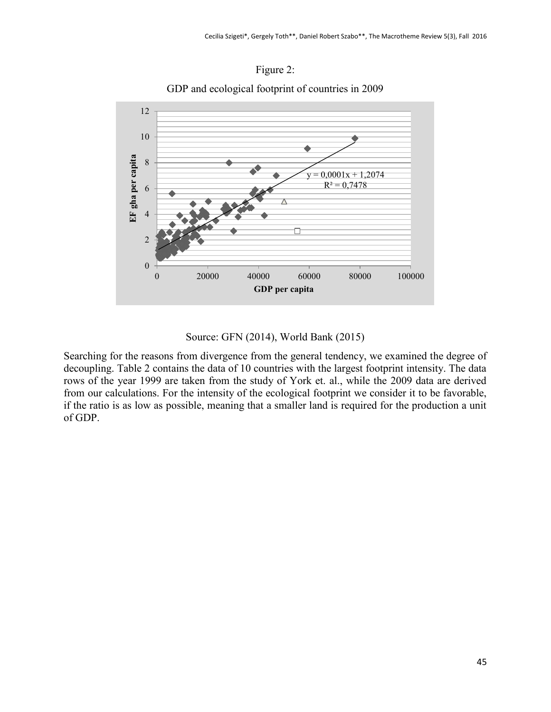

GDP and ecological footprint of countries in 2009



# Source: GFN (2014), World Bank (2015)

Searching for the reasons from divergence from the general tendency, we examined the degree of decoupling. Table 2 contains the data of 10 countries with the largest footprint intensity. The data rows of the year 1999 are taken from the study of York et. al., while the 2009 data are derived from our calculations. For the intensity of the ecological footprint we consider it to be favorable, if the ratio is as low as possible, meaning that a smaller land is required for the production a unit of GDP.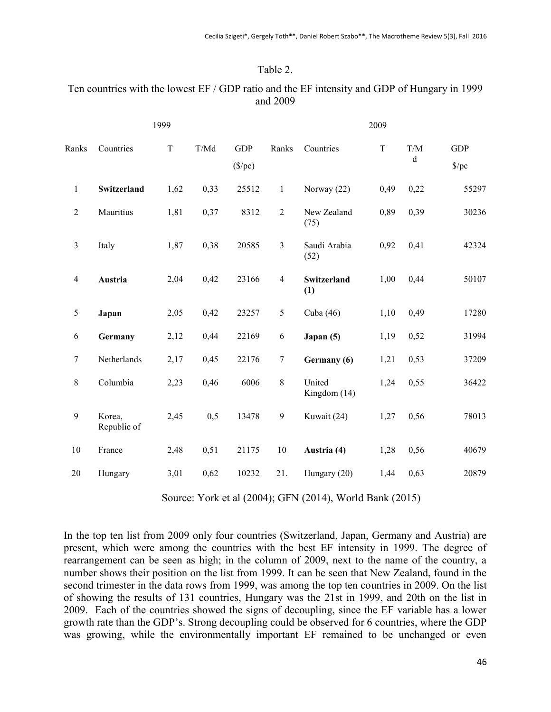## Table 2.

## Ten countries with the lowest EF / GDP ratio and the EF intensity and GDP of Hungary in 1999 and 2009

|                |                       | 1999        |        |                                |                |                        | 2009    |                    |                             |
|----------------|-----------------------|-------------|--------|--------------------------------|----------------|------------------------|---------|--------------------|-----------------------------|
| Ranks          | Countries             | $\mathbf T$ | $T/Md$ | <b>GDP</b><br>$(\frac{$}{pc})$ | Ranks          | Countries              | $\rm T$ | T/M<br>$\mathbf d$ | <b>GDP</b><br>$\frac{f}{c}$ |
| $\mathbf{1}$   | Switzerland           | 1,62        | 0,33   | 25512                          | $\mathbf{1}$   | Norway (22)            | 0,49    | 0,22               | 55297                       |
| $\overline{2}$ | Mauritius             | 1,81        | 0,37   | 8312                           | $\overline{2}$ | New Zealand<br>(75)    | 0,89    | 0,39               | 30236                       |
| $\overline{3}$ | Italy                 | 1,87        | 0,38   | 20585                          | $\mathfrak{Z}$ | Saudi Arabia<br>(52)   | 0,92    | 0,41               | 42324                       |
| $\overline{4}$ | Austria               | 2,04        | 0,42   | 23166                          | $\overline{4}$ | Switzerland<br>(1)     | 1,00    | 0,44               | 50107                       |
| 5              | Japan                 | 2,05        | 0,42   | 23257                          | $\sqrt{5}$     | Cuba (46)              | 1,10    | 0,49               | 17280                       |
| 6              | Germany               | 2,12        | 0,44   | 22169                          | 6              | Japan (5)              | 1,19    | 0,52               | 31994                       |
| $\tau$         | Netherlands           | 2,17        | 0,45   | 22176                          | $\tau$         | Germany (6)            | 1,21    | 0,53               | 37209                       |
| $8\,$          | Columbia              | 2,23        | 0,46   | 6006                           | $\,8\,$        | United<br>Kingdom (14) | 1,24    | 0,55               | 36422                       |
| 9              | Korea,<br>Republic of | 2,45        | 0,5    | 13478                          | $\mathbf{9}$   | Kuwait (24)            | 1,27    | 0,56               | 78013                       |
| 10             | France                | 2,48        | 0,51   | 21175                          | 10             | Austria (4)            | 1,28    | 0,56               | 40679                       |
| 20             | Hungary               | 3,01        | 0,62   | 10232                          | 21.            | Hungary (20)           | 1,44    | 0,63               | 20879                       |

Source: York et al (2004); GFN (2014), World Bank (2015)

In the top ten list from 2009 only four countries (Switzerland, Japan, Germany and Austria) are present, which were among the countries with the best EF intensity in 1999. The degree of rearrangement can be seen as high; in the column of 2009, next to the name of the country, a number shows their position on the list from 1999. It can be seen that New Zealand, found in the second trimester in the data rows from 1999, was among the top ten countries in 2009. On the list of showing the results of 131 countries, Hungary was the 21st in 1999, and 20th on the list in 2009. Each of the countries showed the signs of decoupling, since the EF variable has a lower growth rate than the GDP's. Strong decoupling could be observed for 6 countries, where the GDP was growing, while the environmentally important EF remained to be unchanged or even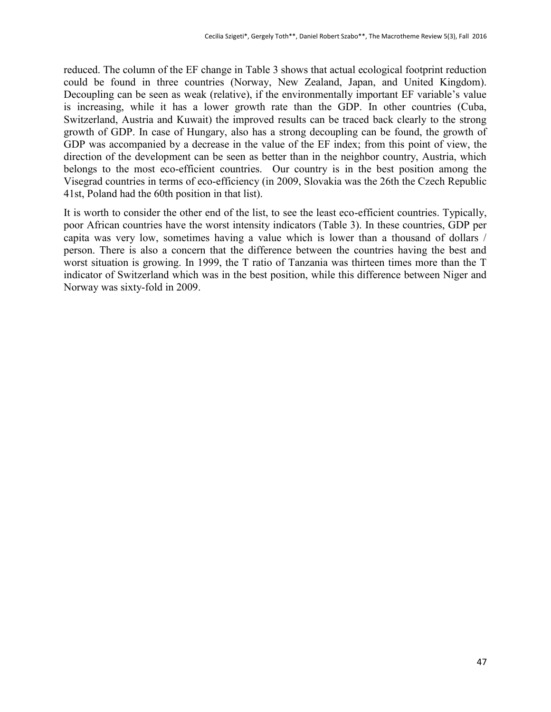reduced. The column of the EF change in Table 3 shows that actual ecological footprint reduction could be found in three countries (Norway, New Zealand, Japan, and United Kingdom). Decoupling can be seen as weak (relative), if the environmentally important EF variable's value is increasing, while it has a lower growth rate than the GDP. In other countries (Cuba, Switzerland, Austria and Kuwait) the improved results can be traced back clearly to the strong growth of GDP. In case of Hungary, also has a strong decoupling can be found, the growth of GDP was accompanied by a decrease in the value of the EF index; from this point of view, the direction of the development can be seen as better than in the neighbor country, Austria, which belongs to the most eco-efficient countries. Our country is in the best position among the Visegrad countries in terms of eco-efficiency (in 2009, Slovakia was the 26th the Czech Republic 41st, Poland had the 60th position in that list).

It is worth to consider the other end of the list, to see the least eco-efficient countries. Typically, poor African countries have the worst intensity indicators (Table 3). In these countries, GDP per capita was very low, sometimes having a value which is lower than a thousand of dollars / person. There is also a concern that the difference between the countries having the best and worst situation is growing. In 1999, the T ratio of Tanzania was thirteen times more than the T indicator of Switzerland which was in the best position, while this difference between Niger and Norway was sixty-fold in 2009.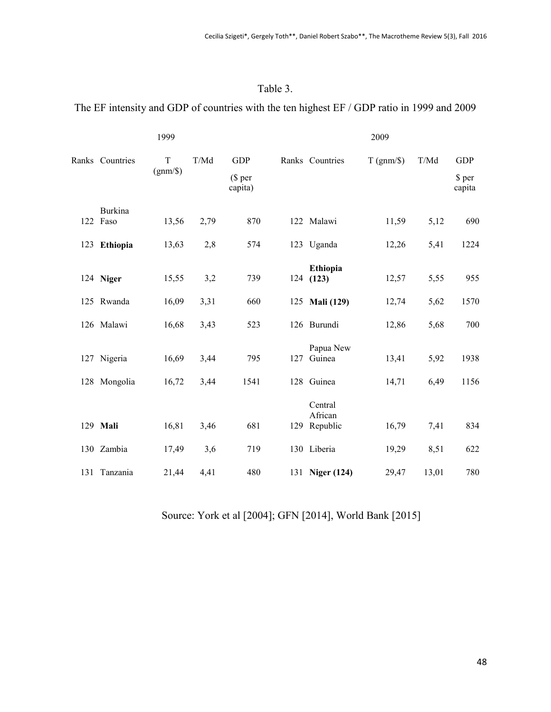## Table 3.

## The EF intensity and GDP of countries with the ten highest EF / GDP ratio in 1999 and 2009

|                     | 1999                  |      |                                  |     |                                    | 2009              |       |                                |
|---------------------|-----------------------|------|----------------------------------|-----|------------------------------------|-------------------|-------|--------------------------------|
| Ranks Countries     | $\rm T$<br>$(gnm/\$)$ | T/Md | <b>GDP</b><br>(\$ per<br>capita) |     | Ranks Countries                    | $T$ (gnm/ $\})$ ) | T/Md  | <b>GDP</b><br>\$ per<br>capita |
| Burkina<br>122 Faso | 13,56                 | 2,79 | 870                              |     | 122 Malawi                         | 11,59             | 5,12  | 690                            |
| 123 Ethiopia        | 13,63                 | 2,8  | 574                              |     | 123 Uganda                         | 12,26             | 5,41  | 1224                           |
| 124 Niger           | 15,55                 | 3,2  | 739                              |     | Ethiopia<br>124(123)               | 12,57             | 5,55  | 955                            |
| 125 Rwanda          | 16,09                 | 3,31 | 660                              |     | 125 Mali (129)                     | 12,74             | 5,62  | 1570                           |
| 126 Malawi          | 16,68                 | 3,43 | 523                              |     | 126 Burundi                        | 12,86             | 5,68  | 700                            |
| 127 Nigeria         | 16,69                 | 3,44 | 795                              | 127 | Papua New<br>Guinea                | 13,41             | 5,92  | 1938                           |
| 128 Mongolia        | 16,72                 | 3,44 | 1541                             |     | 128 Guinea                         | 14,71             | 6,49  | 1156                           |
| 129 Mali            | 16,81                 | 3,46 | 681                              |     | Central<br>African<br>129 Republic | 16,79             | 7,41  | 834                            |
| 130 Zambia          | 17,49                 | 3,6  | 719                              |     | 130 Liberia                        | 19,29             | 8,51  | 622                            |
| 131 Tanzania        | 21,44                 | 4.41 | 480                              |     | 131 Niger (124)                    | 29,47             | 13,01 | 780                            |

Source: York et al [2004]; GFN [2014], World Bank [2015]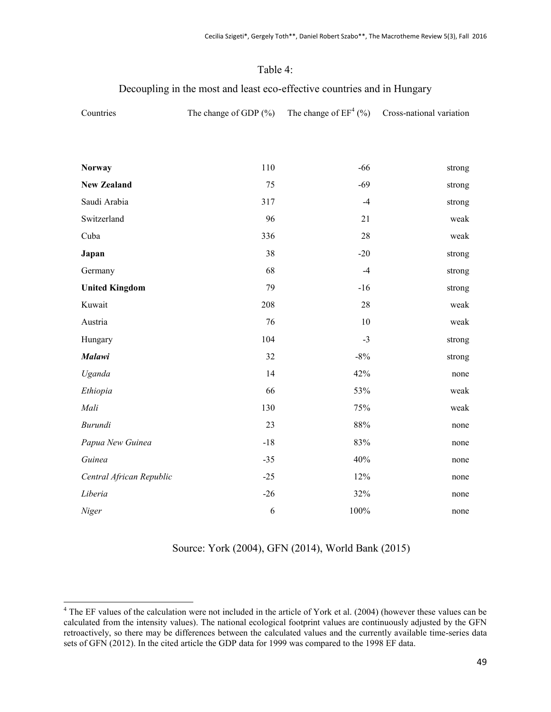## Table 4:

## Decoupling in the most and least eco-effective countries and in Hungary

| Countries                | The change of GDP $(\% )$ | The change of $EF^4$ (%) | Cross-national variation |
|--------------------------|---------------------------|--------------------------|--------------------------|
|                          |                           |                          |                          |
|                          |                           |                          |                          |
| <b>Norway</b>            | 110                       | $-66$                    | strong                   |
| <b>New Zealand</b>       | 75                        | $-69$                    | strong                   |
| Saudi Arabia             | 317                       | $-4$                     | strong                   |
| Switzerland              | 96                        | 21                       | weak                     |
| Cuba                     | 336                       | $28\,$                   | weak                     |
| Japan                    | 38                        | $-20$                    | strong                   |
| Germany                  | 68                        | $-4$                     | strong                   |
| <b>United Kingdom</b>    | 79                        | $-16$                    | strong                   |
| Kuwait                   | 208                       | 28                       | weak                     |
| Austria                  | 76                        | 10                       | weak                     |
| Hungary                  | 104                       | $-3$                     | strong                   |
| <b>Malawi</b>            | 32                        | $-8%$                    | strong                   |
| Uganda                   | 14                        | 42%                      | none                     |
| Ethiopia                 | 66                        | 53%                      | weak                     |
| Mali                     | 130                       | 75%                      | weak                     |
| Burundi                  | 23                        | 88%                      | none                     |
| Papua New Guinea         | $-18$                     | 83%                      | none                     |
| Guinea                   | $-35$                     | 40%                      | none                     |
| Central African Republic | $-25$                     | 12%                      | none                     |
| Liberia                  | $-26$                     | 32%                      | none                     |
| Niger                    | 6                         | 100%                     | none                     |

Source: York (2004), GFN (2014), World Bank (2015)

 $\overline{a}$ 

 $4$  The EF values of the calculation were not included in the article of York et al. (2004) (however these values can be calculated from the intensity values). The national ecological footprint values are continuously adjusted by the GFN retroactively, so there may be differences between the calculated values and the currently available time-series data sets of GFN (2012). In the cited article the GDP data for 1999 was compared to the 1998 EF data.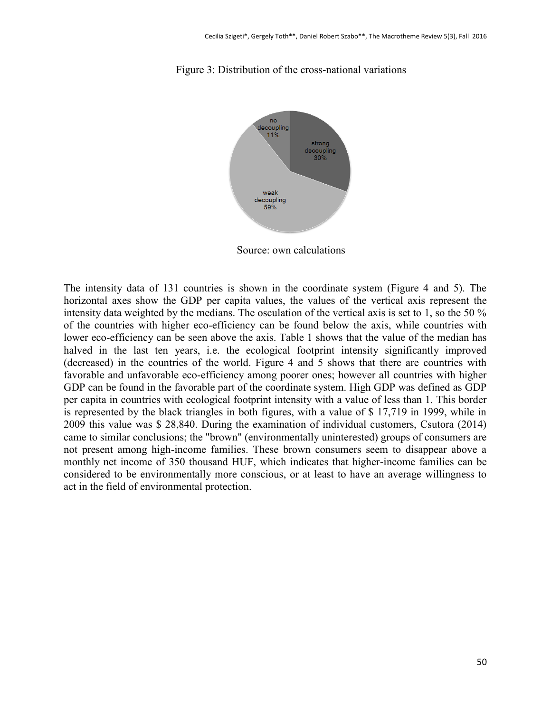

Figure 3: Distribution of the cross-national variations

Source: own calculations

The intensity data of 131 countries is shown in the coordinate system (Figure 4 and 5). The horizontal axes show the GDP per capita values, the values of the vertical axis represent the intensity data weighted by the medians. The osculation of the vertical axis is set to 1, so the 50 % of the countries with higher eco-efficiency can be found below the axis, while countries with lower eco-efficiency can be seen above the axis. Table 1 shows that the value of the median has halved in the last ten years, i.e. the ecological footprint intensity significantly improved (decreased) in the countries of the world. Figure 4 and 5 shows that there are countries with favorable and unfavorable eco-efficiency among poorer ones; however all countries with higher GDP can be found in the favorable part of the coordinate system. High GDP was defined as GDP per capita in countries with ecological footprint intensity with a value of less than 1. This border is represented by the black triangles in both figures, with a value of \$ 17,719 in 1999, while in 2009 this value was \$ 28,840. During the examination of individual customers, Csutora (2014) came to similar conclusions; the "brown" (environmentally uninterested) groups of consumers are not present among high-income families. These brown consumers seem to disappear above a monthly net income of 350 thousand HUF, which indicates that higher-income families can be considered to be environmentally more conscious, or at least to have an average willingness to act in the field of environmental protection.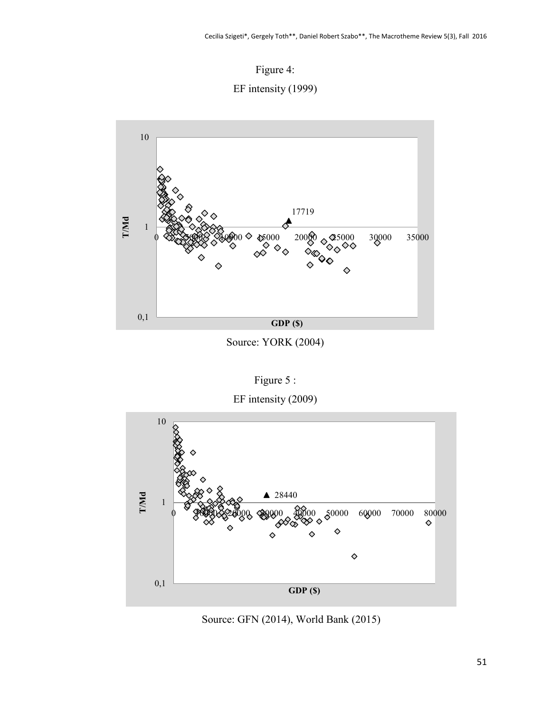



Source: YORK (2004)

Figure 5 :

EF intensity (2009)



Source: GFN (2014), World Bank (2015)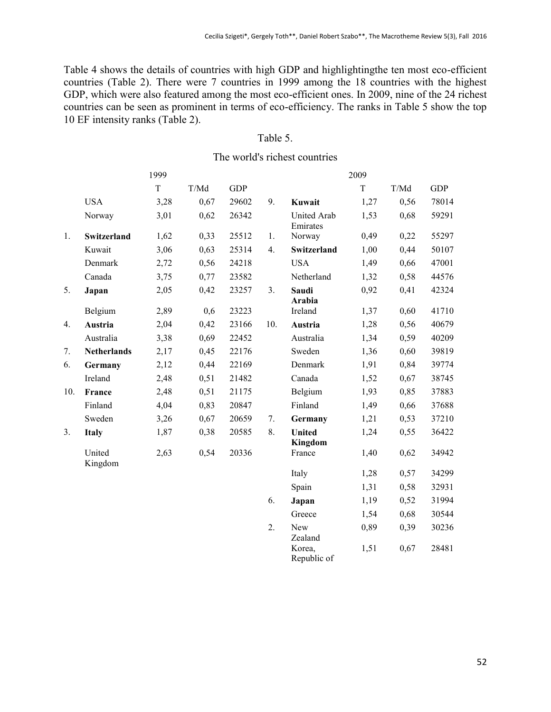Table 4 shows the details of countries with high GDP and highlightingthe ten most eco-efficient countries (Table 2). There were 7 countries in 1999 among the 18 countries with the highest GDP, which were also featured among the most eco-efficient ones. In 2009, nine of the 24 richest countries can be seen as prominent in terms of eco-efficiency. The ranks in Table 5 show the top 10 EF intensity ranks (Table 2).

## Table 5.

The world's richest countries

|     |                    | 1999        |        |            |     |                                | 2009 |      |            |
|-----|--------------------|-------------|--------|------------|-----|--------------------------------|------|------|------------|
|     |                    | $\mathbf T$ | $T/Md$ | <b>GDP</b> |     |                                | T    | T/Md | <b>GDP</b> |
|     | <b>USA</b>         | 3,28        | 0,67   | 29602      | 9.  | Kuwait                         | 1,27 | 0,56 | 78014      |
|     | Norway             | 3,01        | 0,62   | 26342      |     | <b>United Arab</b><br>Emirates | 1,53 | 0,68 | 59291      |
| 1.  | Switzerland        | 1,62        | 0,33   | 25512      | 1.  | Norway                         | 0,49 | 0,22 | 55297      |
|     | Kuwait             | 3,06        | 0,63   | 25314      | 4.  | Switzerland                    | 1,00 | 0,44 | 50107      |
|     | Denmark            | 2,72        | 0,56   | 24218      |     | <b>USA</b>                     | 1,49 | 0,66 | 47001      |
|     | Canada             | 3,75        | 0,77   | 23582      |     | Netherland                     | 1,32 | 0,58 | 44576      |
| 5.  | Japan              | 2,05        | 0,42   | 23257      | 3.  | Saudi<br>Arabia                | 0,92 | 0,41 | 42324      |
|     | Belgium            | 2,89        | 0,6    | 23223      |     | Ireland                        | 1,37 | 0,60 | 41710      |
| 4.  | Austria            | 2,04        | 0,42   | 23166      | 10. | Austria                        | 1,28 | 0,56 | 40679      |
|     | Australia          | 3,38        | 0,69   | 22452      |     | Australia                      | 1,34 | 0,59 | 40209      |
| 7.  | <b>Netherlands</b> | 2,17        | 0,45   | 22176      |     | Sweden                         | 1,36 | 0,60 | 39819      |
| 6.  | Germany            | 2,12        | 0,44   | 22169      |     | Denmark                        | 1,91 | 0,84 | 39774      |
|     | Ireland            | 2,48        | 0,51   | 21482      |     | Canada                         | 1,52 | 0,67 | 38745      |
| 10. | France             | 2,48        | 0,51   | 21175      |     | Belgium                        | 1,93 | 0,85 | 37883      |
|     | Finland            | 4,04        | 0,83   | 20847      |     | Finland                        | 1,49 | 0,66 | 37688      |
|     | Sweden             | 3,26        | 0,67   | 20659      | 7.  | Germany                        | 1,21 | 0,53 | 37210      |
| 3.  | <b>Italy</b>       | 1,87        | 0,38   | 20585      | 8.  | <b>United</b><br>Kingdom       | 1,24 | 0,55 | 36422      |
|     | United<br>Kingdom  | 2,63        | 0,54   | 20336      |     | France                         | 1,40 | 0,62 | 34942      |
|     |                    |             |        |            |     | Italy                          | 1,28 | 0,57 | 34299      |
|     |                    |             |        |            |     | Spain                          | 1,31 | 0,58 | 32931      |
|     |                    |             |        |            | 6.  | Japan                          | 1,19 | 0,52 | 31994      |
|     |                    |             |        |            |     | Greece                         | 1,54 | 0,68 | 30544      |
|     |                    |             |        |            | 2.  | New<br>Zealand                 | 0,89 | 0,39 | 30236      |
|     |                    |             |        |            |     | Korea,                         | 1,51 | 0,67 | 28481      |

Republic of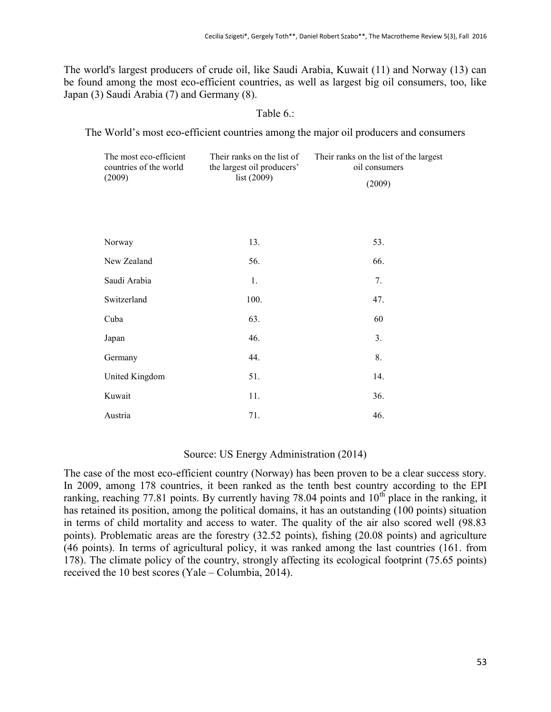The world's largest producers of crude oil, like Saudi Arabia, Kuwait (11) and Norway (13) can be found among the most eco-efficient countries, as well as largest big oil consumers, too, like Japan (3) Saudi Arabia (7) and Germany (8).

## Table 6.:

The World's most eco-efficient countries among the major oil producers and consumers

| The most eco-efficient<br>countries of the world | Their ranks on the list of<br>the largest oil producers' | Their ranks on the list of the largest<br>oil consumers |  |  |  |
|--------------------------------------------------|----------------------------------------------------------|---------------------------------------------------------|--|--|--|
| (2009)                                           | list (2009)                                              | (2009)                                                  |  |  |  |
|                                                  |                                                          |                                                         |  |  |  |
|                                                  |                                                          |                                                         |  |  |  |
| Norway                                           | 13.                                                      | 53.                                                     |  |  |  |
| New Zealand                                      | 56.                                                      | 66.                                                     |  |  |  |
| Saudi Arabia                                     | 1.                                                       | 7.                                                      |  |  |  |
| Switzerland                                      | 100.                                                     | 47.                                                     |  |  |  |
| Cuba                                             | 63.                                                      | 60                                                      |  |  |  |
| Japan                                            | 46.                                                      | 3.                                                      |  |  |  |
| Germany                                          | 44.                                                      | 8.                                                      |  |  |  |
| United Kingdom                                   | 51.                                                      | 14.                                                     |  |  |  |
| Kuwait                                           | 11.                                                      | 36.                                                     |  |  |  |
| Austria                                          | 71.                                                      | 46.                                                     |  |  |  |

## Source: US Energy Administration (2014)

The case of the most eco-efficient country (Norway) has been proven to be a clear success story. In 2009, among 178 countries, it been ranked as the tenth best country according to the EPI ranking, reaching 77.81 points. By currently having 78.04 points and  $10<sup>th</sup>$  place in the ranking, it has retained its position, among the political domains, it has an outstanding (100 points) situation in terms of child mortality and access to water. The quality of the air also scored well (98.83 points). Problematic areas are the forestry (32.52 points), fishing (20.08 points) and agriculture (46 points). In terms of agricultural policy, it was ranked among the last countries (161. from 178). The climate policy of the country, strongly affecting its ecological footprint (75.65 points) received the 10 best scores (Yale – Columbia, 2014).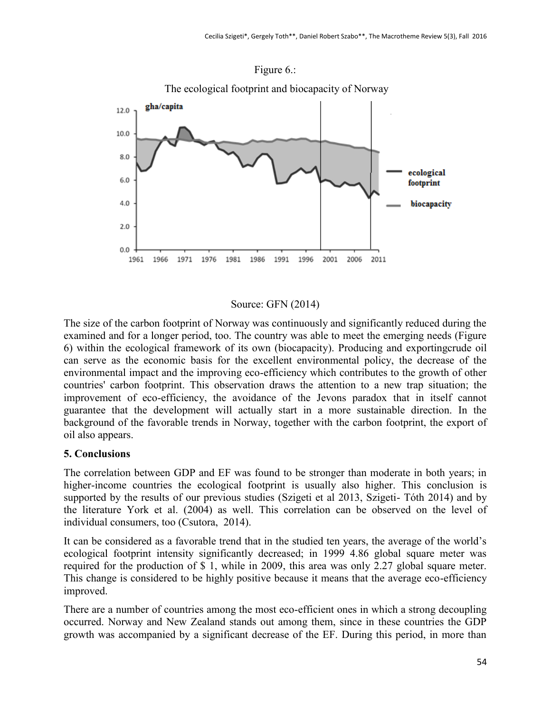

Figure 6.:

#### Source: GFN (2014)

The size of the carbon footprint of Norway was continuously and significantly reduced during the examined and for a longer period, too. The country was able to meet the emerging needs (Figure 6) within the ecological framework of its own (biocapacity). Producing and exportingcrude oil can serve as the economic basis for the excellent environmental policy, the decrease of the environmental impact and the improving eco-efficiency which contributes to the growth of other countries' carbon footprint. This observation draws the attention to a new trap situation; the improvement of eco-efficiency, the avoidance of the Jevons paradox that in itself cannot guarantee that the development will actually start in a more sustainable direction. In the background of the favorable trends in Norway, together with the carbon footprint, the export of oil also appears.

## **5. Conclusions**

The correlation between GDP and EF was found to be stronger than moderate in both years; in higher-income countries the ecological footprint is usually also higher. This conclusion is supported by the results of our previous studies (Szigeti et al 2013, Szigeti- Tóth 2014) and by the literature York et al. (2004) as well. This correlation can be observed on the level of individual consumers, too (Csutora, 2014).

It can be considered as a favorable trend that in the studied ten years, the average of the world's ecological footprint intensity significantly decreased; in 1999 4.86 global square meter was required for the production of \$ 1, while in 2009, this area was only 2.27 global square meter. This change is considered to be highly positive because it means that the average eco-efficiency improved.

There are a number of countries among the most eco-efficient ones in which a strong decoupling occurred. Norway and New Zealand stands out among them, since in these countries the GDP growth was accompanied by a significant decrease of the EF. During this period, in more than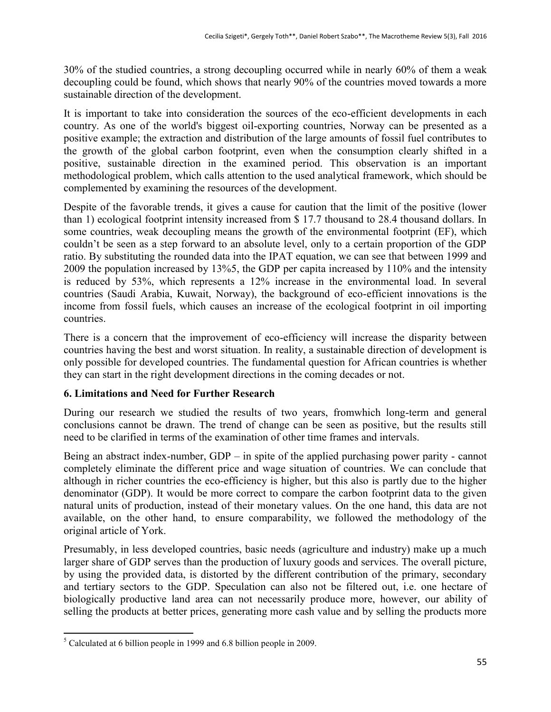30% of the studied countries, a strong decoupling occurred while in nearly 60% of them a weak decoupling could be found, which shows that nearly 90% of the countries moved towards a more sustainable direction of the development.

It is important to take into consideration the sources of the eco-efficient developments in each country. As one of the world's biggest oil-exporting countries, Norway can be presented as a positive example; the extraction and distribution of the large amounts of fossil fuel contributes to the growth of the global carbon footprint, even when the consumption clearly shifted in a positive, sustainable direction in the examined period. This observation is an important methodological problem, which calls attention to the used analytical framework, which should be complemented by examining the resources of the development.

Despite of the favorable trends, it gives a cause for caution that the limit of the positive (lower than 1) ecological footprint intensity increased from \$ 17.7 thousand to 28.4 thousand dollars. In some countries, weak decoupling means the growth of the environmental footprint (EF), which couldn't be seen as a step forward to an absolute level, only to a certain proportion of the GDP ratio. By substituting the rounded data into the IPAT equation, we can see that between 1999 and 2009 the population increased by 13%5, the GDP per capita increased by 110% and the intensity is reduced by 53%, which represents a 12% increase in the environmental load. In several countries (Saudi Arabia, Kuwait, Norway), the background of eco-efficient innovations is the income from fossil fuels, which causes an increase of the ecological footprint in oil importing countries.

There is a concern that the improvement of eco-efficiency will increase the disparity between countries having the best and worst situation. In reality, a sustainable direction of development is only possible for developed countries. The fundamental question for African countries is whether they can start in the right development directions in the coming decades or not.

## **6. Limitations and Need for Further Research**

During our research we studied the results of two years, fromwhich long-term and general conclusions cannot be drawn. The trend of change can be seen as positive, but the results still need to be clarified in terms of the examination of other time frames and intervals.

Being an abstract index-number, GDP – in spite of the applied purchasing power parity - cannot completely eliminate the different price and wage situation of countries. We can conclude that although in richer countries the eco-efficiency is higher, but this also is partly due to the higher denominator (GDP). It would be more correct to compare the carbon footprint data to the given natural units of production, instead of their monetary values. On the one hand, this data are not available, on the other hand, to ensure comparability, we followed the methodology of the original article of York.

Presumably, in less developed countries, basic needs (agriculture and industry) make up a much larger share of GDP serves than the production of luxury goods and services. The overall picture, by using the provided data, is distorted by the different contribution of the primary, secondary and tertiary sectors to the GDP. Speculation can also not be filtered out, i.e. one hectare of biologically productive land area can not necessarily produce more, however, our ability of selling the products at better prices, generating more cash value and by selling the products more

 $\overline{a}$  $<sup>5</sup>$  Calculated at 6 billion people in 1999 and 6.8 billion people in 2009.</sup>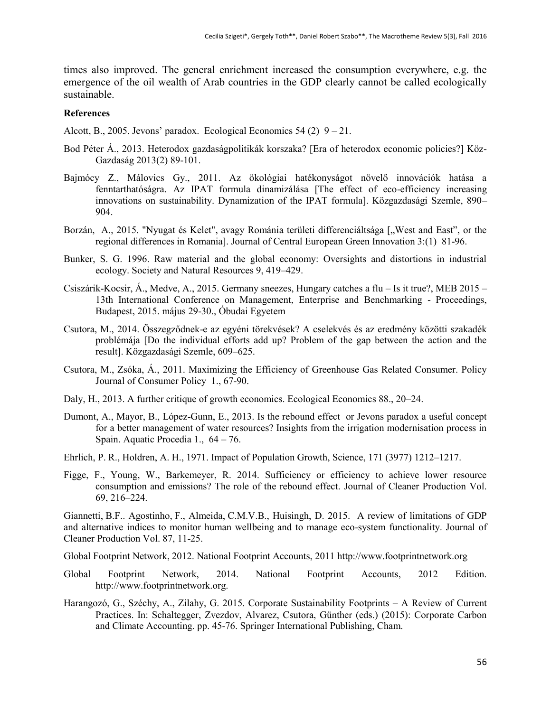times also improved. The general enrichment increased the consumption everywhere, e.g. the emergence of the oil wealth of Arab countries in the GDP clearly cannot be called ecologically sustainable.

#### **References**

Alcott, B., 2005. Jevons' paradox. Ecological Economics 54 (2)  $9 - 21$ .

- Bod Péter Á., 2013. Heterodox gazdaságpolitikák korszaka? [Era of heterodox economic policies?] Köz-Gazdaság 2013(2) 89-101.
- Bajmócy Z., Málovics Gy., 2011. Az ökológiai hatékonyságot növelő innovációk hatása a fenntarthatóságra. Az IPAT formula dinamizálása [The effect of eco-efficiency increasing innovations on sustainability. Dynamization of the IPAT formula]. Közgazdasági Szemle, 890– 904.
- Borzán, A., 2015. "Nyugat és Kelet", avagy Románia területi differenciáltsága ["West and East", or the regional differences in Romania]. Journal of Central European Green Innovation 3:(1) 81-96.
- Bunker, S. G. 1996. Raw material and the global economy: Oversights and distortions in industrial ecology. Society and Natural Resources 9, 419–429.
- Csiszárik-Kocsir, Á., Medve, A., 2015. Germany sneezes, Hungary catches a flu Is it true?, MEB 2015 13th International Conference on Management, Enterprise and Benchmarking - Proceedings, Budapest, 2015. május 29-30., Óbudai Egyetem
- Csutora, M., 2014. Összegződnek-e az egyéni törekvések? A cselekvés és az eredmény közötti szakadék problémája [Do the individual efforts add up? Problem of the gap between the action and the result]. Közgazdasági Szemle, 609–625.
- Csutora, M., Zsóka, Á., 2011. Maximizing the Efficiency of Greenhouse Gas Related Consumer. Policy Journal of Consumer Policy 1., 67-90.
- Daly, H., 2013. A further critique of growth economics. Ecological Economics 88., 20–24.
- Dumont, A., Mayor, B., López-Gunn, E., 2013. Is the rebound effect or Jevons paradox a useful concept for a better management of water resources? Insights from the irrigation modernisation process in Spain. Aquatic Procedia 1., 64 – 76.
- Ehrlich, P. R., Holdren, A. H., 1971. Impact of Population Growth, Science, 171 (3977) 1212–1217.
- Figge, F., Young, W., Barkemeyer, R. 2014. Sufficiency or efficiency to achieve lower resource consumption and emissions? The role of the rebound effect. Journal of Cleaner Production Vol. 69, 216–224.

Giannetti, B.F.. Agostinho, F., Almeida, C.M.V.B., Huisingh, D. 2015. A review of limitations of GDP and alternative indices to monitor human wellbeing and to manage eco-system functionality. Journal of Cleaner Production Vol. 87, 11-25.

Global Footprint Network, 2012. National Footprint Accounts, 2011 [http://www.footprintnetwork.org](http://www.footprintnetwork.org/)

- Global Footprint Network, 2014. National Footprint Accounts, 2012 Edition. [http://www.footprintnetwork.org.](http://www.footprintnetwork.org/)
- Harangozó, G., Széchy, A., Zilahy, G. 2015. Corporate Sustainability Footprints A Review of Current Practices. In: Schaltegger, Zvezdov, Alvarez, Csutora, Günther (eds.) (2015): Corporate Carbon and Climate Accounting. pp. 45-76. Springer International Publishing, Cham.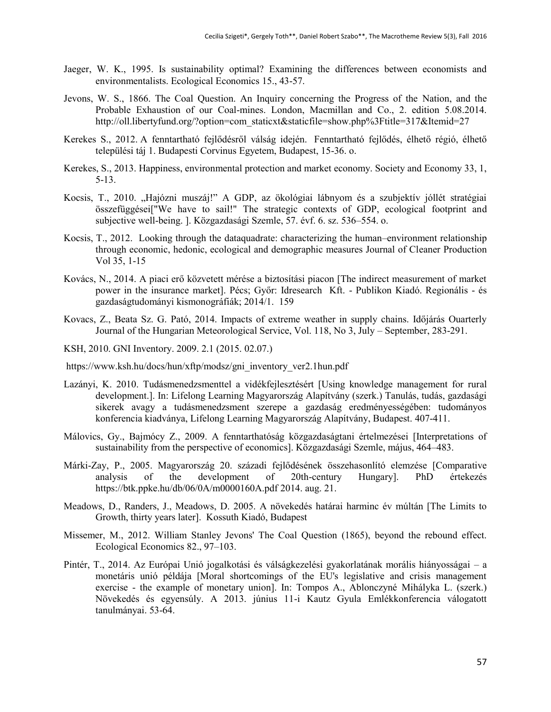- Jaeger, W. K., 1995. Is sustainability optimal? Examining the differences between economists and environmentalists. Ecological Economics 15., 43-57.
- Jevons, W. S., 1866. The Coal Question. An Inquiry concerning the Progress of the Nation, and the Probable Exhaustion of our Coal-mines. London, Macmillan and Co., 2. edition 5.08.2014. [http://oll.libertyfund.org/?option=com\\_staticxt&staticfile=show.php%3Ftitle=317&Itemid=27](http://oll.libertyfund.org/?option=com_staticxt&staticfile=show.php%3Ftitle=317&Itemid=27)
- Kerekes S., 2012. A fenntartható fejlődésről válság idején. Fenntartható fejlődés, élhető régió, élhető települési táj 1. Budapesti Corvinus Egyetem, Budapest, 15-36. o.
- Kerekes, S., 2013. Happiness, environmental protection and market economy. Society and Economy 33, 1, 5-13.
- Kocsis, T., 2010. "Hajózni muszáj!" A GDP, az ökológiai lábnyom és a szubjektív jóllét stratégiai összefüggései["We have to sail!" The strategic contexts of GDP, ecological footprint and subjective well-being. ]. Közgazdasági Szemle, 57. évf. 6. sz. 536–554. o.
- Kocsis, T., 2012. Looking through the dataquadrate: characterizing the human–environment relationship through economic, hedonic, ecological and demographic measures Journal of Cleaner Production Vol 35, 1-15
- Kovács, N., 2014. A piaci erő közvetett mérése a biztosítási piacon [The indirect measurement of market power in the insurance market]. Pécs; Győr: Idresearch Kft. - Publikon Kiadó. Regionális - és gazdaságtudományi kismonográfiák; 2014/1. 159
- Kovacs, Z., Beata Sz. G. Pató, 2014. Impacts of extreme weather in supply chains. Időjárás Ouarterly Journal of the Hungarian Meteorological Service, Vol. 118, No 3, July – September, 283-291.

KSH, 2010. GNI Inventory. 2009. 2.1 (2015. 02.07.)

- [https://www.ksh.hu/docs/hun/xftp/modsz/gni\\_inventory\\_ver2.1hun.pdf](https://www.ksh.hu/docs/hun/xftp/modsz/gni_inventory_ver2.1hun.pdf)
- Lazányi, K. 2010. Tudásmenedzsmenttel a vidékfejlesztésért [Using knowledge management for rural development.]. In: Lifelong Learning Magyarország Alapítvány (szerk.) Tanulás, tudás, gazdasági sikerek avagy a tudásmenedzsment szerepe a gazdaság eredményességében: tudományos konferencia kiadványa, Lifelong Learning Magyarország Alapítvány, Budapest. 407-411.
- Málovics, Gy., Bajmócy Z., 2009. A fenntarthatóság közgazdaságtani értelmezései [Interpretations of sustainability from the perspective of economics]. Közgazdasági Szemle, május, 464–483.
- Márki-Zay, P., 2005. Magyarország 20. századi fejlődésének összehasonlító elemzése [Comparative analysis of the development of 20th-century Hungary]. PhD értekezés <https://btk.ppke.hu/db/06/0A/m0000160A.pdf> 2014. aug. 21.
- Meadows, D., Randers, J., Meadows, D. 2005. A növekedés határai harminc év múltán [The Limits to Growth, thirty years later]. Kossuth Kiadó, Budapest
- Missemer, M., 2012. William Stanley Jevons' The Coal Question (1865), beyond the rebound effect. Ecological Economics 82., 97–103.
- Pintér, T., 2014. Az Európai Unió jogalkotási és válságkezelési gyakorlatának morális hiányosságai a monetáris unió példája [Moral shortcomings of the EU's legislative and crisis management exercise - the example of monetary union]. In: Tompos A., Ablonczyné Mihályka L. (szerk.) Növekedés és egyensúly. A 2013. június 11-i Kautz Gyula Emlékkonferencia válogatott tanulmányai. 53-64.